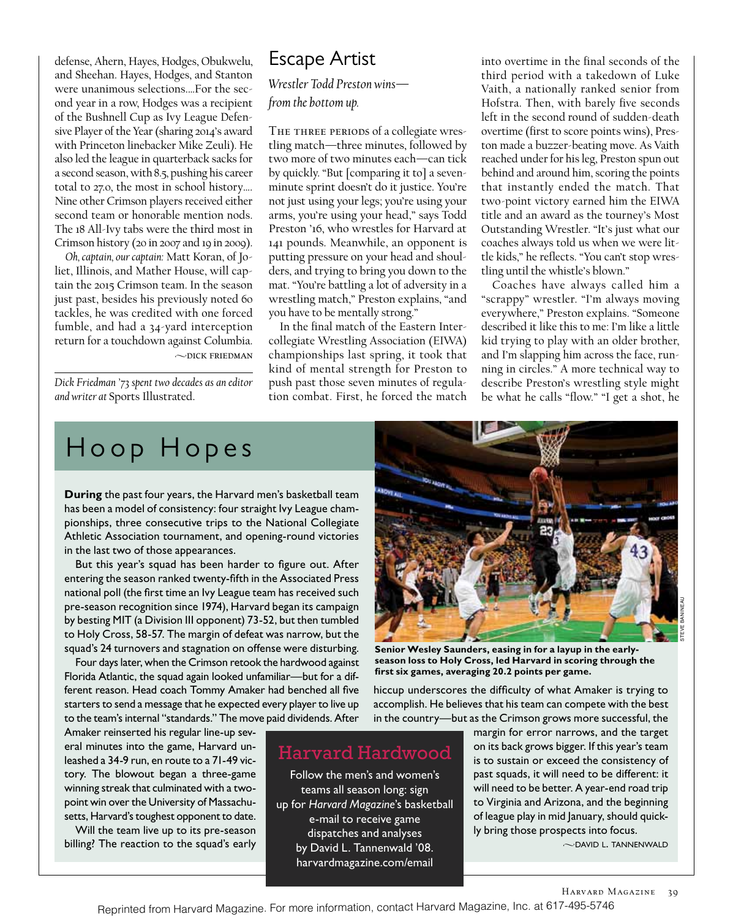defense, Ahern, Hayes, Hodges, Obukwelu, and Sheehan. Hayes, Hodges, and Stanton were unanimous selections.…For the second year in a row, Hodges was a recipient of the Bushnell Cup as Ivy League Defensive Player of the Year (sharing 2014's award with Princeton linebacker Mike Zeuli). He also led the league in quarterback sacks for a second season, with 8.5, pushing his career total to 27.0, the most in school history…. Nine other Crimson players received either second team or honorable mention nods. The 18 All-Ivy tabs were the third most in Crimson history (20 in 2007 and 19 in 2009).

*Oh, captain, our captain:* Matt Koran, of Joliet, Illinois, and Mather House, will captain the 2015 Crimson team. In the season just past, besides his previously noted 60 tackles, he was credited with one forced fumble, and had a 34-yard interception return for a touchdown against Columbia.  $\sim$ DICK FRIEDMAN

*Dick Friedman '73 spent two decades as an editor and writer at* Sports Illustrated.

### Escape Artist

*Wrestler Todd Preston wins from the bottom up.*

THE THREE PERIODS of a collegiate wrestling match—three minutes, followed by two more of two minutes each—can tick by quickly. "But [comparing it to] a sevenminute sprint doesn't do it justice. You're not just using your legs; you're using your arms, you're using your head," says Todd Preston '16, who wrestles for Harvard at 141 pounds. Meanwhile, an opponent is putting pressure on your head and shoulders, and trying to bring you down to the mat. "You're battling a lot of adversity in a wrestling match," Preston explains, "and you have to be mentally strong."

In the final match of the Eastern Intercollegiate Wrestling Association (EIWA) championships last spring, it took that kind of mental strength for Preston to push past those seven minutes of regulation combat. First, he forced the match

into overtime in the final seconds of the third period with a takedown of Luke Vaith, a nationally ranked senior from Hofstra. Then, with barely five seconds left in the second round of sudden-death overtime (first to score points wins), Preston made a buzzer-beating move. As Vaith reached under for his leg, Preston spun out behind and around him, scoring the points that instantly ended the match. That two-point victory earned him the EIWA title and an award as the tourney's Most Outstanding Wrestler. "It's just what our coaches always told us when we were little kids," he reflects. "You can't stop wrestling until the whistle's blown."

Coaches have always called him a "scrappy" wrestler. "I'm always moving everywhere," Preston explains. "Someone described it like this to me: I'm like a little kid trying to play with an older brother, and I'm slapping him across the face, running in circles." A more technical way to describe Preston's wrestling style might be what he calls "flow." "I get a shot, he

## H oop H opes

**During** the past four years, the Harvard men's basketball team has been a model of consistency: four straight Ivy League championships, three consecutive trips to the National Collegiate Athletic Association tournament, and opening-round victories in the last two of those appearances.

But this year's squad has been harder to figure out. After entering the season ranked twenty-ffth in the Associated Press national poll (the frst time an Ivy League team has received such pre-season recognition since 1974), Harvard began its campaign by besting MIT (a Division III opponent) 73-52, but then tumbled to Holy Cross, 58-57. The margin of defeat was narrow, but the squad's 24 turnovers and stagnation on offense were disturbing.

Four days later, when the Crimson retook the hardwood against Florida Atlantic, the squad again looked unfamiliar—but for a different reason. Head coach Tommy Amaker had benched all fve starters to send a message that he expected every player to live up to the team's internal "standards." The move paid dividends. After

Amaker reinserted his regular line-up several minutes into the game, Harvard unleashed a 34-9 run, en route to a 71-49 victory. The blowout began a three-game winning streak that culminated with a twopoint win over the University of Massachusetts, Harvard's toughest opponent to date.

Will the team live up to its pre-season billing? The reaction to the squad's early



**Senior Wesley Saunders, easing in for a layup in the earlyseason loss to Holy Cross, led Harvard in scoring through the frst six games, averaging 20.2 points per game.**

hiccup underscores the difficulty of what Amaker is trying to accomplish. He believes that his team can compete with the best in the country—but as the Crimson grows more successful, the

### Harvard Hardwood

Follow the men's and women's teams all season long: sign up for *Harvard Magazine*'s basketball e-mail to receive game dispatches and analyses by David L. Tannenwald '08. harvardmagazine.com/email

margin for error narrows, and the target on its back grows bigger. If this year's team is to sustain or exceed the consistency of past squads, it will need to be different: it will need to be better. A year-end road trip to Virginia and Arizona, and the beginning of league play in mid January, should quickly bring those prospects into focus.

 $\sim$ DAVID L. TANNENWALD

Reprinted from Harvard Magazine. For more information, contact Harvard Magazine, Inc. at 617-495-5746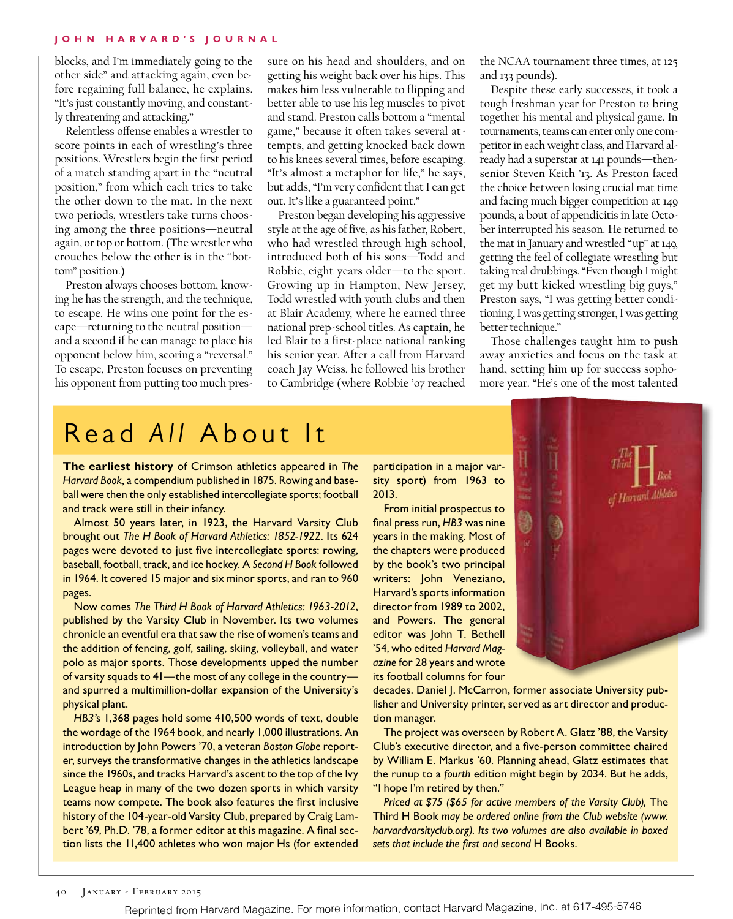#### **JOHN H ARVARD'S JOURNAL**

blocks, and I'm immediately going to the other side" and attacking again, even before regaining full balance, he explains. "It's just constantly moving, and constantly threatening and attacking."

Relentless ofense enables a wrestler to score points in each of wrestling's three positions. Wrestlers begin the first period of a match standing apart in the "neutral position," from which each tries to take the other down to the mat. In the next two periods, wrestlers take turns choosing among the three positions—neutral again, or top or bottom. (The wrestler who crouches below the other is in the "bottom" position.)

Preston always chooses bottom, knowing he has the strength, and the technique, to escape. He wins one point for the escape—returning to the neutral position and a second if he can manage to place his opponent below him, scoring a "reversal." To escape, Preston focuses on preventing his opponent from putting too much pressure on his head and shoulders, and on getting his weight back over his hips. This makes him less vulnerable to flipping and better able to use his leg muscles to pivot and stand. Preston calls bottom a "mental game," because it often takes several attempts, and getting knocked back down to his knees several times, before escaping. "It's almost a metaphor for life," he says, but adds, "I'm very confident that I can get out. It's like a guaranteed point."

Preston began developing his aggressive style at the age of five, as his father, Robert, who had wrestled through high school, introduced both of his sons—Todd and Robbie, eight years older—to the sport. Growing up in Hampton, New Jersey, Todd wrestled with youth clubs and then at Blair Academy, where he earned three national prep-school titles. As captain, he led Blair to a first-place national ranking his senior year. After a call from Harvard coach Jay Weiss, he followed his brother to Cambridge (where Robbie '07 reached the NCAA tournament three times, at 125 and 133 pounds).

Despite these early successes, it took a tough freshman year for Preston to bring together his mental and physical game. In tournaments, teams can enter only one competitor in each weight class, and Harvard already had a superstar at 141 pounds—thensenior Steven Keith '13. As Preston faced the choice between losing crucial mat time and facing much bigger competition at 149 pounds, a bout of appendicitis in late October interrupted his season. He returned to the mat in January and wrestled "up" at 149, getting the feel of collegiate wrestling but taking real drubbings. "Even though I might get my butt kicked wrestling big guys," Preston says, "I was getting better conditioning, I was getting stronger, I was getting better technique."

Those challenges taught him to push away anxieties and focus on the task at hand, setting him up for success sophomore year. "He's one of the most talented

# Read *All* About It

**The earliest history** of Crimson athletics appeared in *The Harvard Book,* a compendium published in 1875. Rowing and baseball were then the only established intercollegiate sports; football and track were still in their infancy.

Almost 50 years later, in 1923, the Harvard Varsity Club brought out *The H Book of Harvard Athletics: 1852-1922*. Its 624 pages were devoted to just fve intercollegiate sports: rowing, baseball, football, track, and ice hockey. A *Second H Book* followed in 1964. It covered 15 major and six minor sports, and ran to 960 pages.

Now comes *The Third H Book of Harvard Athletics: 1963-2012*, published by the Varsity Club in November. Its two volumes chronicle an eventful era that saw the rise of women's teams and the addition of fencing, golf, sailing, skiing, volleyball, and water polo as major sports. Those developments upped the number of varsity squads to 41—the most of any college in the country and spurred a multimillion-dollar expansion of the University's physical plant.

*HB3'*s 1,368 pages hold some 410,500 words of text, double the wordage of the 1964 book, and nearly 1,000 illustrations. An introduction by John Powers '70, a veteran *Boston Globe* reporter, surveys the transformative changes in the athletics landscape since the 1960s, and tracks Harvard's ascent to the top of the Ivy League heap in many of the two dozen sports in which varsity teams now compete. The book also features the frst inclusive history of the 104-year-old Varsity Club, prepared by Craig Lambert '69, Ph.D. '78, a former editor at this magazine. A final section lists the 11,400 athletes who won major Hs (for extended

participation in a major varsity sport) from 1963 to 2013.

From initial prospectus to fnal press run, *HB3* was nine years in the making. Most of the chapters were produced by the book's two principal writers: John Veneziano, Harvard's sports information director from 1989 to 2002, and Powers. The general editor was John T. Bethell '54, who edited *Harvard Magazine* for 28 years and wrote its football columns for four



decades. Daniel J. McCarron, former associate University publisher and University printer, served as art director and production manager.

The project was overseen by Robert A. Glatz '88, the Varsity Club's executive director, and a fve-person committee chaired by William E. Markus '60. Planning ahead, Glatz estimates that the runup to a *fourth* edition might begin by 2034. But he adds, "I hope I'm retired by then."

*Priced at \$75 (\$65 for active members of the Varsity Club),* The Third H Book *may be ordered online from the Club website (www. harvardvarsityclub.org). Its two volumes are also available in boxed sets that include the frst and second* H Books.